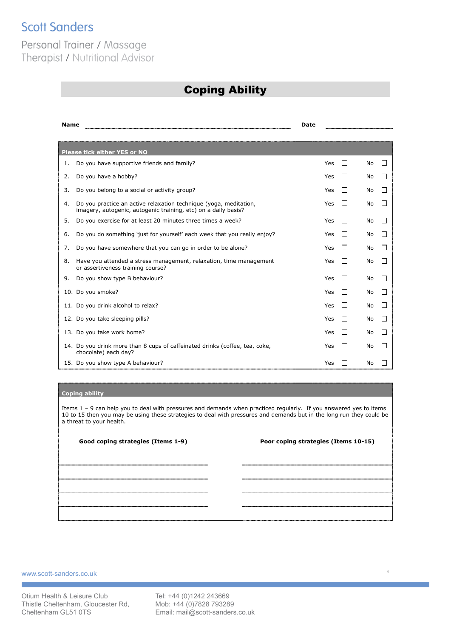# **Scott Sanders**

### Personal Trainer / Massage Therapist / Nutritional Advisor

### Coping Ability

| <b>Name</b> |                                                                                                                                     | <b>Date</b> |              |    |              |
|-------------|-------------------------------------------------------------------------------------------------------------------------------------|-------------|--------------|----|--------------|
|             |                                                                                                                                     |             |              |    |              |
|             | <b>Please tick either YES or NO</b>                                                                                                 |             |              |    |              |
| 1.          | Do you have supportive friends and family?                                                                                          | Yes         | $\mathsf{L}$ | No | $\mathsf{L}$ |
| 2.          | Do you have a hobby?                                                                                                                | Yes         | l 1          | No |              |
| 3.          | Do you belong to a social or activity group?                                                                                        | Yes         | l 1          | No |              |
| 4.          | Do you practice an active relaxation technique (yoga, meditation,<br>imagery, autogenic, autogenic training, etc) on a daily basis? | Yes         | l 1          | No |              |
| 5.          | Do you exercise for at least 20 minutes three times a week?                                                                         | Yes         | l 1          | No |              |
| 6.          | Do you do something 'just for yourself' each week that you really enjoy?                                                            | Yes         | l 1          | No |              |
| 7.          | Do you have somewhere that you can go in order to be alone?                                                                         | Yes         | П            | No |              |
| 8.          | Have you attended a stress management, relaxation, time management<br>or assertiveness training course?                             | Yes         | П            | No | $\mathsf{L}$ |
| 9.          | Do you show type B behaviour?                                                                                                       | Yes         | l 1          | No |              |
|             | 10. Do you smoke?                                                                                                                   | Yes         | $\mathsf{L}$ | No |              |
|             | 11. Do you drink alcohol to relax?                                                                                                  | Yes         | $\mathsf{L}$ | No |              |
|             | 12. Do you take sleeping pills?                                                                                                     | Yes         | $\mathsf{L}$ | No |              |
|             | 13. Do you take work home?                                                                                                          | Yes         | $\Box$       | No |              |
|             | 14. Do you drink more than 8 cups of caffeinated drinks (coffee, tea, coke,<br>chocolate) each day?                                 | Yes         | $\mathsf{L}$ | No |              |
|             | 15. Do you show type A behaviour?                                                                                                   | Yes         |              | No |              |

### **Coping ability**

Items 1 – 9 can help you to deal with pressures and demands when practiced regularly. If you answered yes to items 10 to 15 then you may be using these strategies to deal with pressures and demands but in the long run they could be a threat to your health.

**Good coping strategies (Items 1-9) Poor coping strategies (Items 10-15)**

1

www.scott-sanders.co.uk